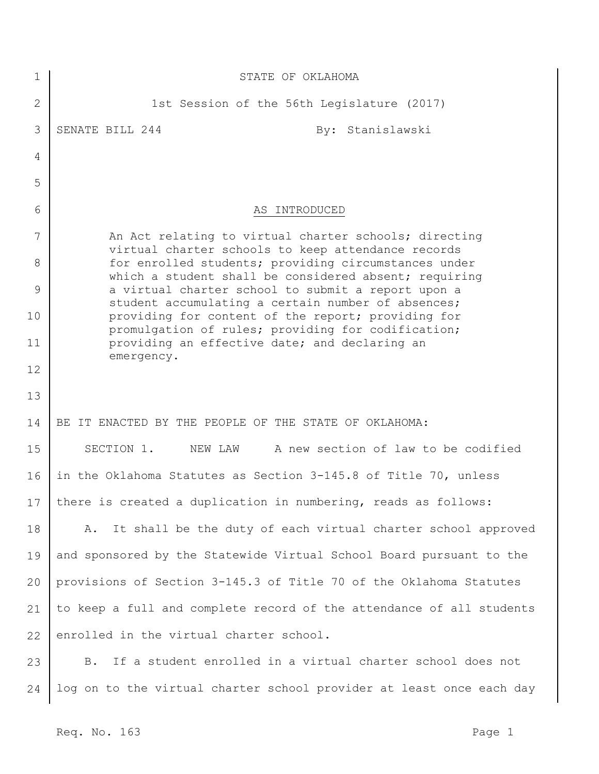| 1            | STATE OF OKLAHOMA                                                                                             |
|--------------|---------------------------------------------------------------------------------------------------------------|
| $\mathbf{2}$ | 1st Session of the 56th Legislature (2017)                                                                    |
| 3            | SENATE BILL 244<br>By: Stanislawski                                                                           |
| 4            |                                                                                                               |
| 5            |                                                                                                               |
| 6            | AS INTRODUCED                                                                                                 |
| 7            | An Act relating to virtual charter schools; directing<br>virtual charter schools to keep attendance records   |
| 8            | for enrolled students; providing circumstances under<br>which a student shall be considered absent; requiring |
| 9            | a virtual charter school to submit a report upon a<br>student accumulating a certain number of absences;      |
| 10           | providing for content of the report; providing for<br>promulgation of rules; providing for codification;      |
| 11           | providing an effective date; and declaring an<br>emergency.                                                   |
| 12           |                                                                                                               |
| 13           |                                                                                                               |
| 14           | BE IT ENACTED BY THE PEOPLE OF THE STATE OF OKLAHOMA:                                                         |
| 15           | A new section of law to be codified<br>SECTION 1.<br>NEW LAW                                                  |
| 16           | in the Oklahoma Statutes as Section 3-145.8 of Title 70, unless                                               |
| 17           | there is created a duplication in numbering, reads as follows:                                                |
| 18           | It shall be the duty of each virtual charter school approved<br>Α.                                            |
| 19           | and sponsored by the Statewide Virtual School Board pursuant to the                                           |
| 20           | provisions of Section 3-145.3 of Title 70 of the Oklahoma Statutes                                            |
| 21           | to keep a full and complete record of the attendance of all students                                          |
| 22           | enrolled in the virtual charter school.                                                                       |
| 23           | If a student enrolled in a virtual charter school does not<br><b>B.</b>                                       |
| 24           | log on to the virtual charter school provider at least once each day                                          |